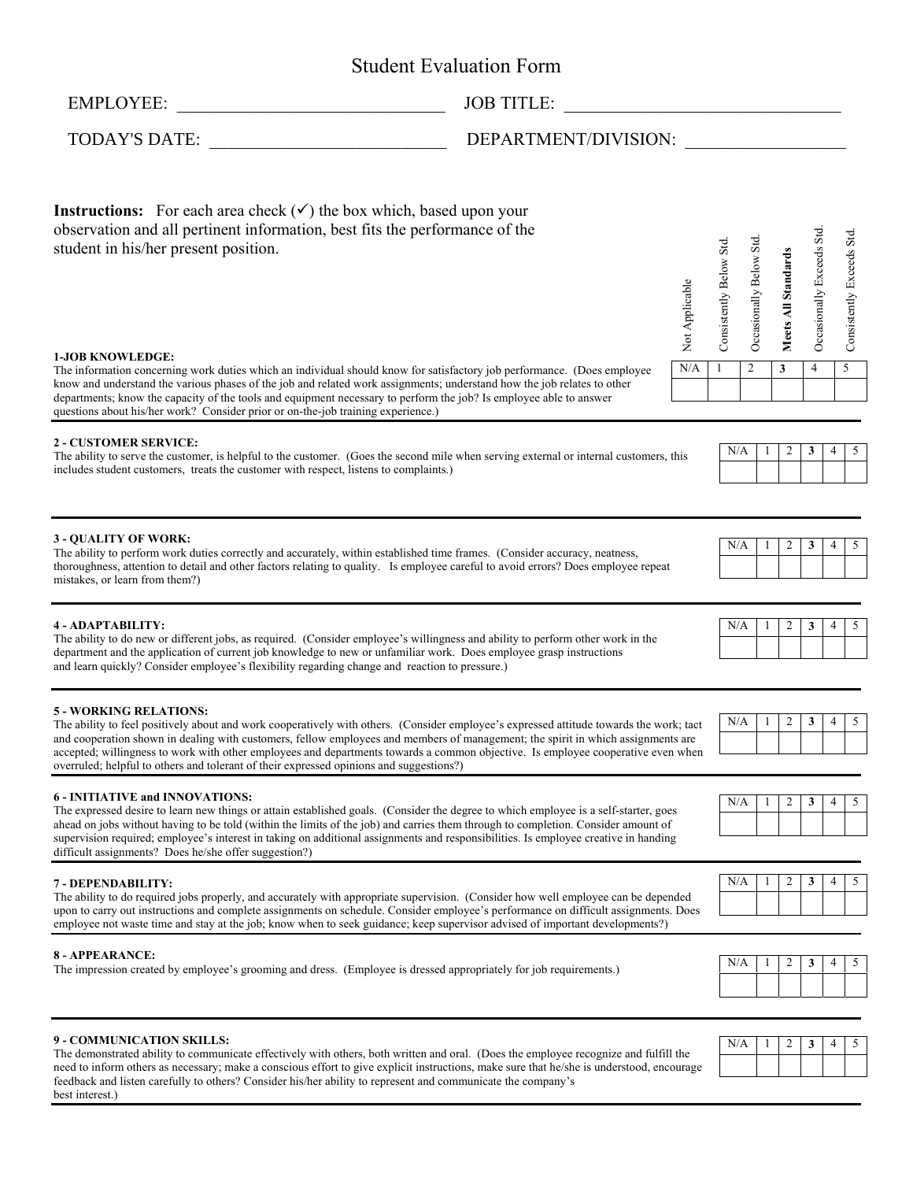# Student Evaluation Form

best interest.)

# EMPLOYEE: \_\_\_\_\_\_\_\_\_\_\_\_\_\_\_\_\_\_\_\_\_\_\_\_\_\_\_\_\_\_ JOB TITLE: \_\_\_\_\_\_\_\_\_\_\_\_\_\_\_\_\_\_\_\_\_\_\_\_\_\_\_\_\_\_\_

TODAY'S DATE: \_\_\_\_\_\_\_\_\_\_\_\_\_\_\_\_\_\_\_\_\_\_\_\_\_\_ DEPARTMENT/DIVISION: \_\_\_\_\_\_\_\_\_\_\_\_\_\_\_\_\_\_

| <b>Instructions:</b> For each area check $(\checkmark)$ the box which, based upon your<br>observation and all pertinent information, best fits the performance of the<br>student in his/her present position.<br>Not Applicable                                                                                                                                                                                                                                                                                                             | Consistently Below Std. | Occasionally Below Std. | Meets All Standards | Occasionally Exceeds Std. |   | Consistently Exceeds Std |
|---------------------------------------------------------------------------------------------------------------------------------------------------------------------------------------------------------------------------------------------------------------------------------------------------------------------------------------------------------------------------------------------------------------------------------------------------------------------------------------------------------------------------------------------|-------------------------|-------------------------|---------------------|---------------------------|---|--------------------------|
| <b>1-JOB KNOWLEDGE:</b><br>N/A<br>The information concerning work duties which an individual should know for satisfactory job performance. (Does employee<br>know and understand the various phases of the job and related work assignments; understand how the job relates to other<br>departments; know the capacity of the tools and equipment necessary to perform the job? Is employee able to answer<br>questions about his/her work? Consider prior or on-the-job training experience.)                                              | $\overline{c}$          |                         | 3                   | 4                         | 5 |                          |
| <b>2 - CUSTOMER SERVICE:</b><br>The ability to serve the customer, is helpful to the customer. (Goes the second mile when serving external or internal customers, this<br>includes student customers, treats the customer with respect, listens to complaints.)                                                                                                                                                                                                                                                                             | N/A                     | 1                       | 2                   | 3                         | 4 | 5                        |
| <b>3 - OUALITY OF WORK:</b><br>The ability to perform work duties correctly and accurately, within established time frames. (Consider accuracy, neatness,<br>thoroughness, attention to detail and other factors relating to quality. Is employee careful to avoid errors? Does employee repeat<br>mistakes, or learn from them?)                                                                                                                                                                                                           | N/A                     | -1                      | 2                   | 3                         | 4 | 5                        |
| 4 - ADAPTABILITY:<br>The ability to do new or different jobs, as required. (Consider employee's willingness and ability to perform other work in the<br>department and the application of current job knowledge to new or unfamiliar work. Does employee grasp instructions<br>and learn quickly? Consider employee's flexibility regarding change and reaction to pressure.)                                                                                                                                                               | N/A                     | 1                       | 2                   | 3                         | 4 | 5                        |
| <b>5 - WORKING RELATIONS:</b><br>The ability to feel positively about and work cooperatively with others. (Consider employee's expressed attitude towards the work; tact<br>and cooperation shown in dealing with customers, fellow employees and members of management; the spirit in which assignments are<br>accepted; willingness to work with other employees and departments towards a common objective. Is employee cooperative even when<br>overruled; helpful to others and tolerant of their expressed opinions and suggestions?) | N/A                     | 1                       | 2                   | 3                         | 4 | 5                        |
| <b>6 - INITIATIVE and INNOVATIONS:</b><br>The expressed desire to learn new things or attain established goals. (Consider the degree to which employee is a self-starter, goes<br>ahead on jobs without having to be told (within the limits of the job) and carries them through to completion. Consider amount of<br>supervision required; employee's interest in taking on additional assignments and responsibilities. Is employee creative in handing<br>difficult assignments? Does he/she offer suggestion?)                         | N/A                     | 1                       | 2                   | 3                         | 4 | 5                        |
| 7 - DEPENDABILITY:<br>The ability to do required jobs properly, and accurately with appropriate supervision. (Consider how well employee can be depended<br>upon to carry out instructions and complete assignments on schedule. Consider employee's performance on difficult assignments. Does<br>employee not waste time and stay at the job; know when to seek guidance; keep supervisor advised of important developments?)                                                                                                             | N/A                     | 1                       | 2                   | 3                         | 4 | 5                        |
| <b>8 - APPEARANCE:</b><br>The impression created by employee's grooming and dress. (Employee is dressed appropriately for job requirements.)                                                                                                                                                                                                                                                                                                                                                                                                | N/A                     | 1                       | 2                   | 3                         | 4 | 5                        |
| 9 - COMMUNICATION SKILLS:<br>The demonstrated ability to communicate effectively with others, both written and oral. (Does the employee recognize and fulfill the<br>need to inform others as necessary; make a conscious effort to give explicit instructions, make sure that he/she is understood, encourage                                                                                                                                                                                                                              | N/A                     | 1                       | 2                   | 3                         | 4 | 5                        |

feedback and listen carefully to others? Consider his/her ability to represent and communicate the company's